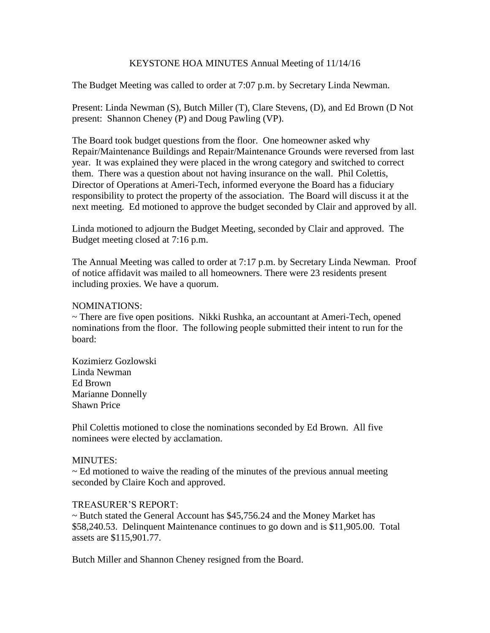# KEYSTONE HOA MINUTES Annual Meeting of 11/14/16

The Budget Meeting was called to order at 7:07 p.m. by Secretary Linda Newman.

Present: Linda Newman (S), Butch Miller (T), Clare Stevens, (D), and Ed Brown (D Not present: Shannon Cheney (P) and Doug Pawling (VP).

The Board took budget questions from the floor. One homeowner asked why Repair/Maintenance Buildings and Repair/Maintenance Grounds were reversed from last year. It was explained they were placed in the wrong category and switched to correct them. There was a question about not having insurance on the wall. Phil Colettis, Director of Operations at Ameri-Tech, informed everyone the Board has a fiduciary responsibility to protect the property of the association. The Board will discuss it at the next meeting. Ed motioned to approve the budget seconded by Clair and approved by all.

Linda motioned to adjourn the Budget Meeting, seconded by Clair and approved. The Budget meeting closed at 7:16 p.m.

The Annual Meeting was called to order at 7:17 p.m. by Secretary Linda Newman. Proof of notice affidavit was mailed to all homeowners. There were 23 residents present including proxies. We have a quorum.

## NOMINATIONS:

~ There are five open positions. Nikki Rushka, an accountant at Ameri-Tech, opened nominations from the floor. The following people submitted their intent to run for the board:

Kozimierz Gozlowski Linda Newman Ed Brown Marianne Donnelly Shawn Price

Phil Colettis motioned to close the nominations seconded by Ed Brown. All five nominees were elected by acclamation.

## MINUTES:

 $\sim$  Ed motioned to waive the reading of the minutes of the previous annual meeting seconded by Claire Koch and approved.

#### TREASURER'S REPORT:

 $\sim$  Butch stated the General Account has \$45,756.24 and the Money Market has \$58,240.53. Delinquent Maintenance continues to go down and is \$11,905.00. Total assets are \$115,901.77.

Butch Miller and Shannon Cheney resigned from the Board.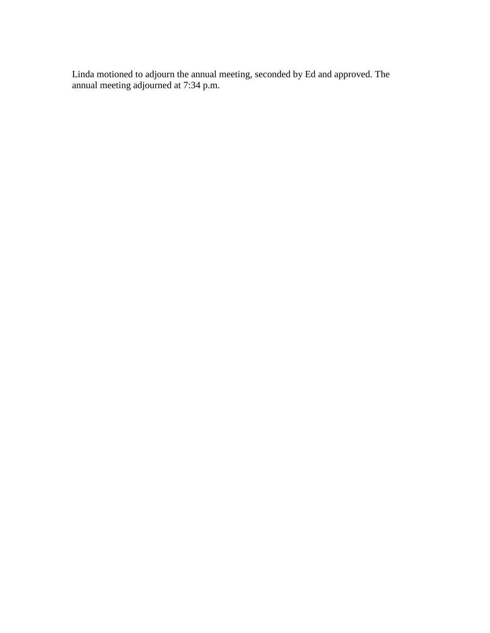Linda motioned to adjourn the annual meeting, seconded by Ed and approved. The annual meeting adjourned at 7:34 p.m.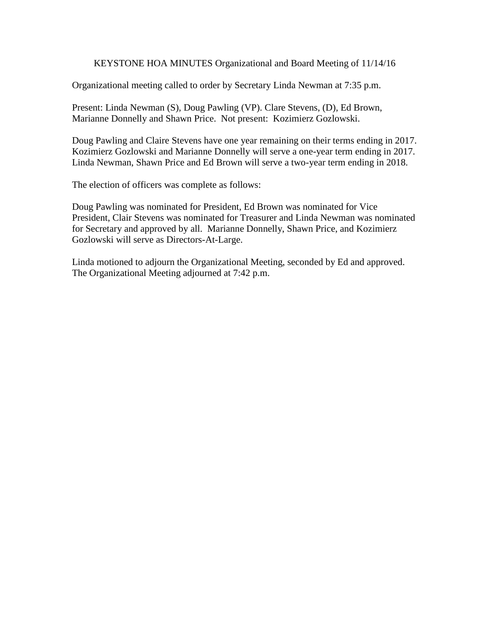KEYSTONE HOA MINUTES Organizational and Board Meeting of 11/14/16

Organizational meeting called to order by Secretary Linda Newman at 7:35 p.m.

Present: Linda Newman (S), Doug Pawling (VP). Clare Stevens, (D), Ed Brown, Marianne Donnelly and Shawn Price. Not present: Kozimierz Gozlowski.

Doug Pawling and Claire Stevens have one year remaining on their terms ending in 2017. Kozimierz Gozlowski and Marianne Donnelly will serve a one-year term ending in 2017. Linda Newman, Shawn Price and Ed Brown will serve a two-year term ending in 2018.

The election of officers was complete as follows:

Doug Pawling was nominated for President, Ed Brown was nominated for Vice President, Clair Stevens was nominated for Treasurer and Linda Newman was nominated for Secretary and approved by all. Marianne Donnelly, Shawn Price, and Kozimierz Gozlowski will serve as Directors-At-Large.

Linda motioned to adjourn the Organizational Meeting, seconded by Ed and approved. The Organizational Meeting adjourned at 7:42 p.m.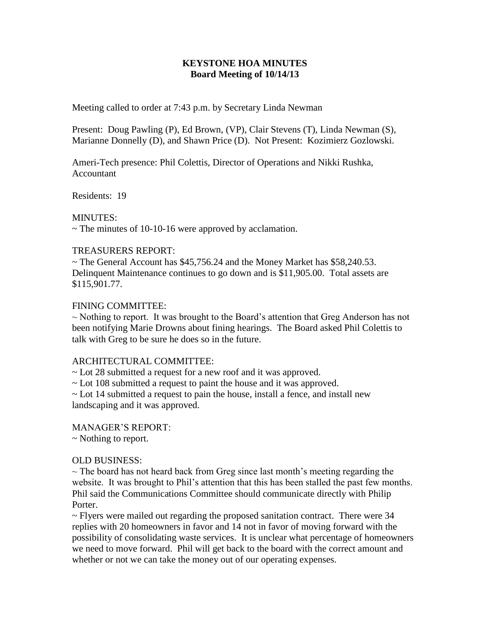# **KEYSTONE HOA MINUTES Board Meeting of 10/14/13**

Meeting called to order at 7:43 p.m. by Secretary Linda Newman

Present: Doug Pawling (P), Ed Brown, (VP), Clair Stevens (T), Linda Newman (S), Marianne Donnelly (D), and Shawn Price (D). Not Present: Kozimierz Gozlowski.

Ameri-Tech presence: Phil Colettis, Director of Operations and Nikki Rushka, Accountant

Residents: 19

## MINUTES:

 $\sim$  The minutes of 10-10-16 were approved by acclamation.

## TREASURERS REPORT:

~ The General Account has \$45,756.24 and the Money Market has \$58,240.53. Delinquent Maintenance continues to go down and is \$11,905.00. Total assets are \$115,901.77.

## FINING COMMITTEE:

 $\sim$  Nothing to report. It was brought to the Board's attention that Greg Anderson has not been notifying Marie Drowns about fining hearings. The Board asked Phil Colettis to talk with Greg to be sure he does so in the future.

## ARCHITECTURAL COMMITTEE:

~ Lot 28 submitted a request for a new roof and it was approved.

~ Lot 108 submitted a request to paint the house and it was approved.

~ Lot 14 submitted a request to pain the house, install a fence, and install new landscaping and it was approved.

#### MANAGER'S REPORT:

~ Nothing to report.

#### OLD BUSINESS:

 $\sim$  The board has not heard back from Greg since last month's meeting regarding the website. It was brought to Phil's attention that this has been stalled the past few months. Phil said the Communications Committee should communicate directly with Philip Porter.

 $\sim$  Flyers were mailed out regarding the proposed sanitation contract. There were 34 replies with 20 homeowners in favor and 14 not in favor of moving forward with the possibility of consolidating waste services. It is unclear what percentage of homeowners we need to move forward. Phil will get back to the board with the correct amount and whether or not we can take the money out of our operating expenses.